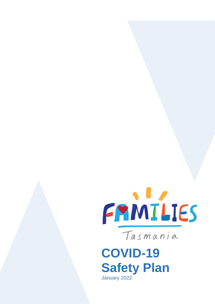

**COVID-19 Safety Plan** January 2022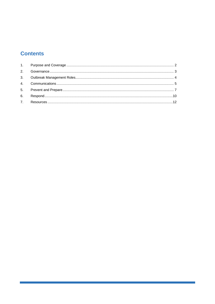# **Contents**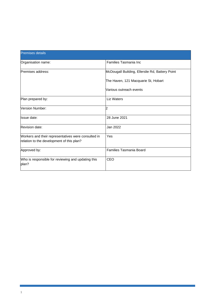| <b>Premises details</b>                                                                          |                                                 |  |
|--------------------------------------------------------------------------------------------------|-------------------------------------------------|--|
| Organisation name:                                                                               | Families Tasmania Inc                           |  |
| Premises address:                                                                                | McDougall Building, Ellerslie Rd, Battery Point |  |
|                                                                                                  | The Haven, 121 Macquarie St, Hobart             |  |
|                                                                                                  | Various outreach events                         |  |
| Plan prepared by:                                                                                | Liz Waters                                      |  |
| Version Number:                                                                                  | 2                                               |  |
| <b>Issue date:</b>                                                                               | 28 June 2021                                    |  |
| Revision date:                                                                                   | Jan 2022                                        |  |
| Workers and their representatives were consulted in<br>relation to the development of this plan? | Yes                                             |  |
| Approved by:                                                                                     | Families Tasmania Board                         |  |
| Who is responsible for reviewing and updating this<br>plan?                                      | <b>CEO</b>                                      |  |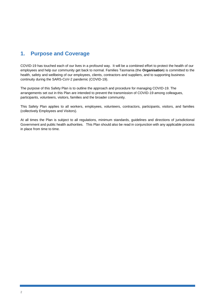# **1. Purpose and Coverage**

COVID-19 has touched each of our lives in a profound way. It will be a combined effort to protect the health of our employees and help our community get back to normal. Families Tasmania (the **Organisation**) is committed to the health, safety and wellbeing of our employees, clients, contractors and suppliers, and to supporting business continuity during the SARS-CoV-2 pandemic (COVID-19).

The purpose of this Safety Plan is to outline the approach and procedure for managing COVID-19. The arrangements set out in this Plan are intended to prevent the transmission of COVID-19 among colleagues, participants, volunteers, visitors, families and the broader community.

This Safety Plan applies to all workers, employees, volunteers, contractors, participants, visitors, and families (collectively Employees and Visitors).

At all times the Plan is subject to all regulations, minimum standards, guidelines and directions of jurisdictional Government and public health authorities. This Plan should also be read in conjunction with any applicable process in place from time to time.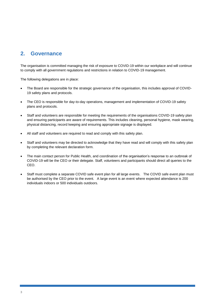# **2. Governance**

The organisation is committed managing the risk of exposure to COVID-19 within our workplace and will continue to comply with all government regulations and restrictions in relation to COVID-19 management.

The following delegations are in place:

- The Board are responsible for the strategic governance of the organisation, this includes approval of COVID-19 safety plans and protocols.
- The CEO is responsible for day-to-day operations, management and implementation of COVID-19 safety plans and protocols.
- Staff and volunteers are responsible for meeting the requirements of the organisations COVID-19 safety plan and ensuring participants are aware of requirements. This includes cleaning, personal hygiene, mask wearing, physical distancing, record keeping and ensuring appropriate signage is displayed.
- All staff and volunteers are required to read and comply with this safety plan.
- Staff and volunteers may be directed to acknowledge that they have read and will comply with this safety plan by completing the relevant declaration form.
- The main contact person for Public Health, and coordination of the organisation's response to an outbreak of COVID-19 will be the CEO or their delegate. Staff, volunteers and participants should direct all queries to the CEO.
- Staff must complete a separate COVID safe event plan for all large events. The COVID safe event plan must be authorised by the CEO prior to the event. A large event is an event where expected attendance is 200 individuals indoors or 500 individuals outdoors.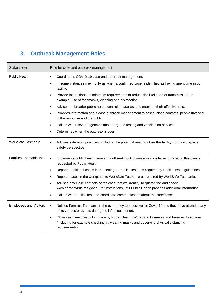# **3. Outbreak Management Roles**

| Stakeholder                   | Role for case and outbreak management                                                                                                                                                                          |  |  |
|-------------------------------|----------------------------------------------------------------------------------------------------------------------------------------------------------------------------------------------------------------|--|--|
| <b>Public Health</b>          | Coordinates COVID-19 case and outbreak management.<br>$\bullet$                                                                                                                                                |  |  |
|                               | In some instances may notify us when a confirmed case is identified as having spent time in our<br>$\bullet$<br>facility.                                                                                      |  |  |
|                               | Provide instructions on minimum requirements to reduce the likelihood of transmission (for<br>$\bullet$<br>example, use of facemasks, cleaning and disinfection.                                               |  |  |
|                               | Advises on broader public health control measures, and monitors their effectiveness.<br>$\bullet$                                                                                                              |  |  |
|                               | Provides information about case/outbreak management to cases, close contacts, people involved<br>$\bullet$<br>in the response and the public.                                                                  |  |  |
|                               | Liaises with relevant agencies about targeted testing and vaccination services.<br>$\bullet$                                                                                                                   |  |  |
|                               | Determines when the outbreak is over.<br>$\bullet$                                                                                                                                                             |  |  |
| WorkSafe Tasmania             | Advises safe work practices, including the potential need to close the facility from a workplace<br>$\bullet$<br>safety perspective.                                                                           |  |  |
| Families Tasmania Inc.        | Implements public health case and outbreak control measures onsite, as outlined in this plan or<br>$\bullet$<br>requested by Public Health.                                                                    |  |  |
|                               | Reports additional cases in the setting to Public Health as required by Public Health guidelines.<br>$\bullet$                                                                                                 |  |  |
|                               | Reports cases in the workplace to WorkSafe Tasmania as required by WorkSafe Tasmania.<br>$\bullet$                                                                                                             |  |  |
|                               | Advises any close contacts of the case that we identify, to quarantine and check<br>$\bullet$<br>www.coronavirus.tas.gov.au for instructions until Public Health provides additional information.              |  |  |
|                               | Liaises with Public Health to coordinate communication about the case/cases.<br>$\bullet$                                                                                                                      |  |  |
| <b>Employees and Visitors</b> | Notifies Families Tasmania in the event they test positive for Covid-19 and they have attended any<br>$\bullet$<br>of its venues or events during the infectious period.                                       |  |  |
|                               | Observes measures put in place by Public Health, WorkSafe Tasmania and Families Tasmania<br>$\bullet$<br>(including for example checking in, wearing masks and observing physical distancing<br>requirements). |  |  |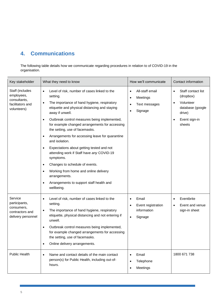# **4. Communications**

The following table details how we communicate regarding procedures in relation to of COVID-19 in the organisation.

| Key stakeholder                                                                                         | What they need to know                                                                                                                                                                                                                                                                                                                                                                                                                                                                                                                                                                                                                                                                                                                                    | How we'll communicate                                                                                | Contact information                                                                                                                          |
|---------------------------------------------------------------------------------------------------------|-----------------------------------------------------------------------------------------------------------------------------------------------------------------------------------------------------------------------------------------------------------------------------------------------------------------------------------------------------------------------------------------------------------------------------------------------------------------------------------------------------------------------------------------------------------------------------------------------------------------------------------------------------------------------------------------------------------------------------------------------------------|------------------------------------------------------------------------------------------------------|----------------------------------------------------------------------------------------------------------------------------------------------|
| Staff (includes<br>employees,<br>consultants,<br>facilitators and<br>volunteers)                        | Level of risk, number of cases linked to the<br>$\bullet$<br>setting.<br>The importance of hand hygiene, respiratory<br>$\bullet$<br>etiquette and physical distancing and staying<br>away if unwell.<br>Outbreak control measures being implemented,<br>$\bullet$<br>for example changed arrangements for accessing<br>the setting, use of facemasks.<br>Arrangements for accessing leave for quarantine<br>$\bullet$<br>and isolation.<br>Expectations about getting tested and not<br>$\bullet$<br>attending work if Staff have any COVID-19<br>symptoms.<br>Changes to schedule of events.<br>$\bullet$<br>Working from home and online delivery<br>$\bullet$<br>arrangements.<br>Arrangements to support staff health and<br>$\bullet$<br>wellbeing. | All-staff email<br>$\bullet$<br>Meetings<br>$\bullet$<br>Text messages<br>$\bullet$<br>Signage       | Staff contact list<br>$\bullet$<br>(dropbox)<br>Volunteer<br>$\bullet$<br>database (google<br>drive)<br>Event sign-in<br>$\bullet$<br>sheets |
| Service<br>participants,<br>consumers,<br>contractors and<br>delivery personnel<br><b>Public Health</b> | Level of risk, number of cases linked to the<br>$\bullet$<br>setting.<br>The importance of hand hygiene, respiratory<br>$\bullet$<br>etiquette, physical distancing and not entering if<br>unwell.<br>Outbreak control measures being implemented,<br>$\bullet$<br>for example changed arrangements for accessing<br>the setting, use of facemasks.<br>Online delivery arrangements.<br>$\bullet$<br>Name and contact details of the main contact<br>$\bullet$<br>person(s) for Public Health, including out-of-<br>hours.                                                                                                                                                                                                                                | Email<br>Event registration<br>information<br>Signage<br>$\bullet$<br>Email<br>Telephone<br>Meetings | Eventbrite<br>Event and venue<br>sign-in sheet<br>1800 671 738                                                                               |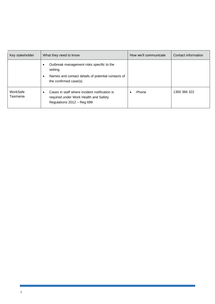| Key stakeholder      | What they need to know                                                                                                                                          | How we'll communicate | Contact information |
|----------------------|-----------------------------------------------------------------------------------------------------------------------------------------------------------------|-----------------------|---------------------|
|                      | Outbreak management risks specific to the<br>$\bullet$<br>setting.<br>Names and contact details of potential contacts of<br>$\bullet$<br>the confirmed case(s). |                       |                     |
| WorkSafe<br>Tasmania | Cases in staff where incident notification is<br>٠<br>required under Work Health and Safety<br>Regulations 2012 - Reg 699                                       | Phone                 | 1300 366 322        |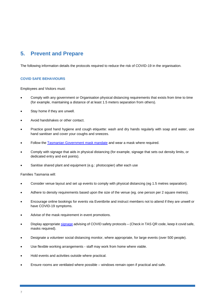# **5. Prevent and Prepare**

The following information details the protocols required to reduce the risk of COVID-19 in the organisation.

### **COVID SAFE BEHAVIOURS**

Employees and Visitors must:

- Comply with any government or Organisation physical distancing requirements that exists from time to time (for example, maintaining a distance of at least 1.5 meters separation from others).
- Stay home if they are unwell.
- Avoid handshakes or other contact.
- Practice good hand hygiene and cough etiquette: wash and dry hands regularly with soap and water, use hand sanitiser and cover your coughs and sneezes.
- Follow the [Tasmanian Government mask mandate](https://www.coronavirus.tas.gov.au/keeping-yourself-safe/face-masks) and wear a mask where required.
- Comply with signage that aids in physical distancing (for example, signage that sets out density limits, or dedicated entry and exit points).
- Sanitise shared plant and equipment (e.g.: photocopier) after each use

Families Tasmania will:

- Consider venue layout and set up events to comply with physical distancing (eg 1.5 metres separation).
- Adhere to density requirements based upon the size of the venue (eg. one person per 2 square metres).
- Encourage online bookings for events via Eventbrite and instruct members not to attend if they are unwell or have COVID-19 symptoms.
- Advise of the mask requirement in event promotions.
- Display appropriat[e signage](https://www.coronavirus.tas.gov.au/resources/keep-it-covid-safe) advising of COVID safety protocols (Check in TAS QR code, keep it covid safe, masks required).
- Designate a volunteer social distancing monitor, where appropriate, for large events (over 500 people).
- Use flexible working arrangements staff may work from home where viable.
- Hold events and activities outside where practical.
- Ensure rooms are ventilated where possible windows remain open if practical and safe.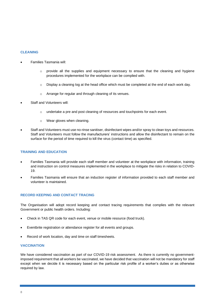#### **CLEANING**

- Families Tasmania will:
	- $\circ$  provide all the supplies and equipment necessary to ensure that the cleaning and hygiene procedures implemented for the workplace can be complied with.
	- o Display a cleaning log at the head office which must be completed at the end of each work day.
	- o Arrange for regular and through cleaning of its venues.
- Staff and Volunteers will:
	- $\circ$  undertake a pre and post cleaning of resources and touchpoints for each event.
	- o Wear gloves when cleaning.
- Staff and Volunteers must use no-rinse sanitiser, disinfectant wipes and/or spray to clean toys and resources. Staff and Volunteers must follow the manufacturers' instructions and allow the disinfectant to remain on the surface for the period of time required to kill the virus (contact time) as specified.

#### **TRAINING AND EDUCATION**

- Families Tasmania will provide each staff member and volunteer at the workplace with information, training and instruction on control measures implemented in the workplace to mitigate the risks in relation to COVID-19.
- Families Tasmania will ensure that an induction register of information provided to each staff member and volunteer is maintained.

### **RECORD KEEPING AND CONTACT TRACING**

The Organisation will adopt record keeping and contact tracing requirements that complies with the relevant Government or public health orders. Including:

- Check in TAS QR code for each event, venue or mobile resource (food truck).
- Eventbrite registration or attendance register for all events and groups.
- Record of work location, day and time on staff timesheets.

#### **VACCINATION**

We have considered vaccination as part of our COVID-19 risk assessment. As there is currently no governmentimposed requirement that all workers be vaccinated, we have decided that vaccination will not be mandatory for staff except when we decide it is necessary based on the particular risk profile of a worker's duties or as otherwise required by law.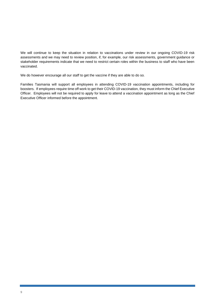We will continue to keep the situation in relation to vaccinations under review in our ongoing COVID-19 risk assessments and we may need to review position, if, for example, our risk assessments, government guidance or stakeholder requirements indicate that we need to restrict certain roles within the business to staff who have been vaccinated.

We do however encourage all our staff to get the vaccine if they are able to do so.

Families Tasmania will support all employees in attending COVID-19 vaccination appointments, including for boosters. If employees require time off work to get their COVID-19 vaccination, they must inform the Chief Executive Officer. Employees will not be required to apply for leave to attend a vaccination appointment as long as the Chief Executive Officer informed before the appointment.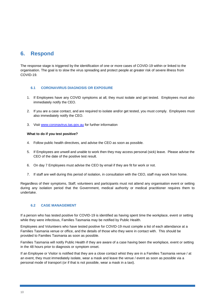# **6. Respond**

The response stage is triggered by the identification of one or more cases of COVID-19 within or linked to the organisation. The goal is to slow the virus spreading and protect people at greater risk of severe illness from COVID-19.

## **6.1 CORONAVIRUS DIAGNOSIS OR EXPOSURE**

- 1. If Employees have any COVID symptoms at all, they must isolate and get tested. Employees must also immediately notify the CEO.
- 2. If you are a case contact, and are required to isolate and/or get tested, you must comply. Employees must also immediately notify the CEO.
- 3. Visit [www.coronavirus.tas.gov.au](http://www.coronavirus.tas.gov.au/) for further information

### **What to do if you test positive?**

- 4. Follow public health directives, and advise the CEO as soon as possible.
- 5. If Employees are unwell and unable to work then they may access personal (sick) leave. Please advise the CEO of the date of the positive test result.
- 6. On day 7 Employees must advise the CEO by email if they are fit for work or not.
- 7. If staff are well during this period of isolation, in consultation with the CEO, staff may work from home.

Regardless of their symptoms, Staff, volunteers and participants must not attend any organisation event or setting during any isolation period that the Government, medical authority or medical practitioner requires them to undertake.

## **6.2 CASE MANAGEMENT**

If a person who has tested positive for COVID-19 is identified as having spent time the workplace, event or setting while they were infectious, Families Tasmania may be notified by Public Health.

Employees and Volunteers who have tested positive for COVID-19 must compile a list of each attendance at a Families Tasmania venue or office, and the details of those who they were in contact with. This should be provided to Families Tasmania as soon as possible.

Families Tasmania will notify Public Health if they are aware of a case having been the workplace, event or setting in the 48 hours prior to diagnosis or symptom onset.

If an Employee or Visitor is notified that they are a close contact whist they are in a Families Tasmania venue / at an event, they must immediately isolate, wear a mask and leave the venue / event as soon as possible via a personal mode of transport (or if that is not possible, wear a mask in a taxi).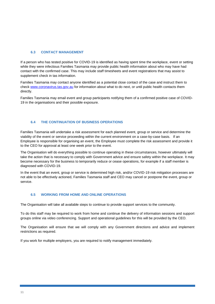### **6.3 CONTACT MANAGEMENT**

If a person who has tested positive for COVID-19 is identified as having spent time the workplace, event or setting while they were infectious Families Tasmania may provide public health information about who may have had contact with the confirmed case. This may include staff timesheets and event registrations that may assist to supplement check in tas information.

Families Tasmania may contact anyone identified as a potential close contact of the case and instruct them to check [www.coronavirus.tas.gov.au](http://www.coronavirus.tas.gov.au/) for information about what to do next, or until public health contacts them directly.

Families Tasmania may email event and group participants notifying them of a confirmed positive case of COVID-19 in the organisations and their possible exposure.

### **6.4 THE CONTINUATION OF BUSINESS OPERATIONS**

Families Tasmania will undertake a risk assessment for each planned event, group or service and determine the viability of the event or service proceeding within the current environment on a case-by-case basis. If an Employee is responsible for organising an event, the Employee must complete the risk assessment and provide it to the CEO for approval at least one week prior to the event.

The Organisation will do everything possible to continue operating in these circumstances, however ultimately will take the action that is necessary to comply with Government advice and ensure safety within the workplace. It may become necessary for the business to temporarily reduce or cease operations, for example if a staff member is diagnosed with COVID-19.

In the event that an event, group or service is determined high risk, and/or COVID-19 risk mitigation processes are not able to be effectively actioned, Families Tasmania staff and CEO may cancel or postpone the event, group or service.

### **6.5 WORKING FROM HOME AND ONLINE OPERATIONS**

The Organisation will take all available steps to continue to provide support services to the community.

To do this staff may be required to work from home and continue the delivery of information sessions and support groups online via video conferencing. Support and operational guidelines for this will be provided by the CEO.

The Organisation will ensure that we will comply with any Government directions and advice and implement restrictions as required.

If you work for multiple employers, you are required to notify management immediately.